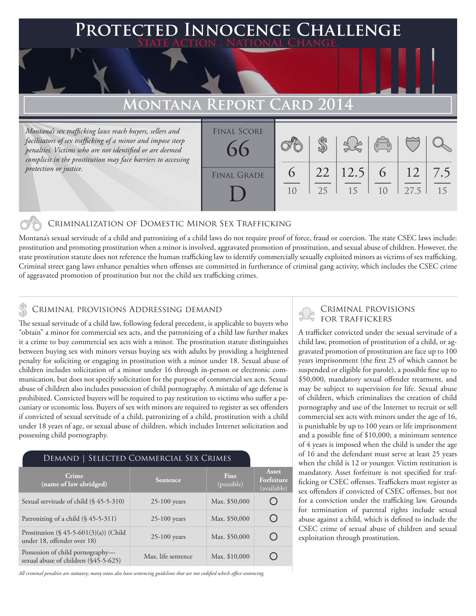## **PTED INNOCENCE CHALLENGE State Action . National Change. MONTANA REPORT CARD 20** *Montana's sex trafficking laws reach buyers, sellers and facilitators of sex trafficking of a minor and impose steep*  \$ Final Score 66

Criminalization of Domestic Minor Sex Trafficking

Montana's sexual servitude of a child and patronizing of a child laws do not require proof of force, fraud or coercion. The state CSEC laws include: prostitution and promoting prostitution when a minor is involved, aggravated promotion of prostitution, and sexual abuse of children. However, the state prostitution statute does not reference the human trafficking law to identify commercially sexually exploited minors as victims of sex trafficking. Criminal street gang laws enhance penalties when offenses are committed in furtherance of criminal gang activity, which includes the CSEC crime of aggravated promotion of prostitution but not the child sex trafficking crimes.

FINAL GRADE

D

10

25

15

 $1<sub>0</sub>$ 

27.5

15

7.5

12

6

12.5

22

6

### CRIMINAL PROVISIONS ADDRESSING DEMAND

*penalties. Victims who are not identified or are deemed complicit in the prostitution may face barriers to accessing* 

*protection or justice.*

The sexual servitude of a child law, following federal precedent, is applicable to buyers who "obtain" a minor for commercial sex acts, and the patronizing of a child law further makes it a crime to buy commercial sex acts with a minor. The prostitution statute distinguishes between buying sex with minors versus buying sex with adults by providing a heightened penalty for soliciting or engaging in prostitution with a minor under 18. Sexual abuse of children includes solicitation of a minor under 16 through in-person or electronic communication, but does not specify solicitation for the purpose of commercial sex acts. Sexual abuse of children also includes possession of child pornography. A mistake of age defense is prohibited. Convicted buyers will be required to pay restitution to victims who suffer a pecuniary or economic loss. Buyers of sex with minors are required to register as sex offenders if convicted of sexual servitude of a child, patronizing of a child, prostitution with a child under 18 years of age, or sexual abuse of children, which includes Internet solicitation and possessing child pornography.

### Demand | Selected Commercial Sex Crimes

| Crime<br>(name of law abridged)                                           | <b>Sentence</b>    | <b>Fine</b><br>(possible) | Asset<br>Forfeiture<br>(available) |
|---------------------------------------------------------------------------|--------------------|---------------------------|------------------------------------|
| Sexual servitude of child (§ 45-5-310)                                    | $25-100$ years     | Max. \$50,000             |                                    |
| Patronizing of a child $(\S 45-5-311)$                                    | $25-100$ years     | Max. \$50,000             |                                    |
| Prostitution $(\S 45-5-601(3)(a))$ (Child<br>under 18, offender over 18)  | $25-100$ years     | Max. \$50,000             |                                    |
| Possession of child pornography-<br>sexual abuse of children (\$45-5-625) | Max. life sentence | Max. \$10,000             |                                    |

*All criminal penalties are statutory; many states also have sentencing guidelines that are not codified which affect sentencing.* 

# Criminal provisions

A trafficker convicted under the sexual servitude of a child law, promotion of prostitution of a child, or aggravated promotion of prostitution are face up to 100 years imprisonment (the first 25 of which cannot be suspended or eligible for parole), a possible fine up to \$50,000, mandatory sexual offender treatment, and may be subject to supervision for life. Sexual abuse of children, which criminalizes the creation of child pornography and use of the Internet to recruit or sell commercial sex acts with minors under the age of 16, is punishable by up to 100 years or life imprisonment and a possible fine of \$10,000; a minimum sentence of 4 years is imposed when the child is under the age of 16 and the defendant must serve at least 25 years when the child is 12 or younger. Victim restitution is mandatory. Asset forfeiture is not specified for trafficking or CSEC offenses. Traffickers must register as sex offenders if convicted of CSEC offenses, but not for a conviction under the trafficking law. Grounds for termination of parental rights include sexual abuse against a child, which is defined to include the CSEC crime of sexual abuse of children and sexual exploitation through prostitution.